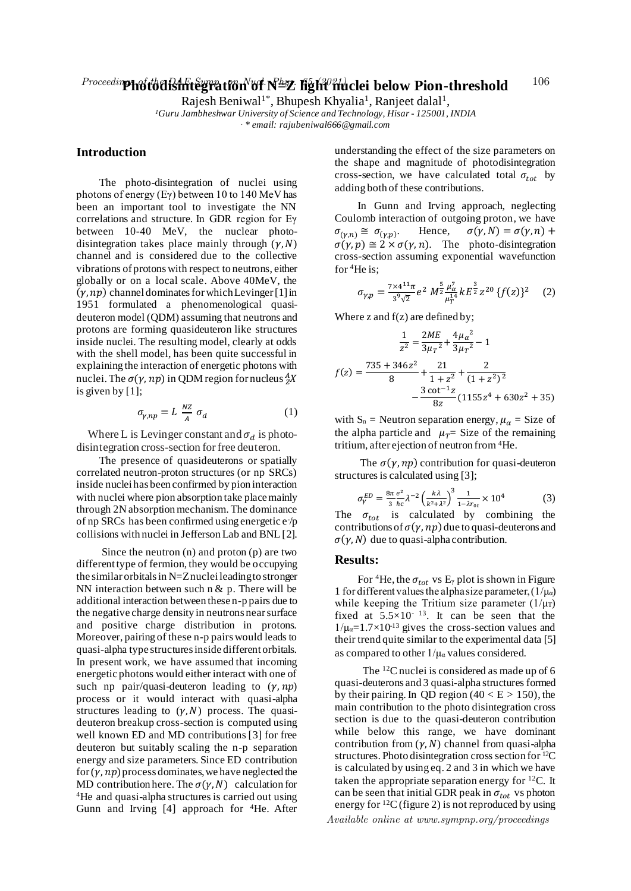Rajesh Beniwal<sup>1\*</sup>, Bhupesh Khyalia<sup>1</sup>, Ranjeet dalal<sup>1</sup>,

*<sup>1</sup>Guru Jambheshwar University of Science and Technology, Hisar - 125001, INDIA . \* email: rajubeniwal666@gmail.com*

## **Introduction**

The photo-disintegration of nuclei using photons of energy (Eγ) between 10 to 140 MeV has been an important tool to investigate the NN correlations and structure. In GDR region for Eγ between 10-40 MeV, the nuclear photodisintegration takes place mainly through  $(y, N)$ channel and is considered due to the collective vibrations of protons with respect to neutrons, either globally or on a local scale. Above 40MeV, the  $(y, np)$  channel dominates for which Levinger [1] in 1951 formulated a phenomenological quasideuteron model (QDM) assuming that neutrons and protons are forming quasideuteron like structures inside nuclei. The resulting model, clearly at odds with the shell model, has been quite successful in explaining the interaction of energetic photons with nuclei. The  $\sigma(\gamma, np)$  in QDM region for nucleus  $^A_Z\!X$ is given by [1];

$$
\sigma_{\gamma, np} = L \frac{NZ}{A} \sigma_d \tag{1}
$$

Where L is Levinger constant and  $\sigma_d$  is photodisintegration cross-section for free deuteron.

The presence of quasideuterons or spatially correlated neutron-proton structures (or np SRCs) inside nuclei has been confirmed by pion interaction with nuclei where pion absorption take place mainly through 2N absorption mechanism. The dominance of np SRCs has been confirmed using energetic e- /p collisions with nuclei in Jefferson Lab and BNL [2].

Since the neutron (n) and proton (p) are two different type of fermion, they would be occupying the similar orbitals in N=Z nuclei leading to stronger NN interaction between such n  $\&$  p. There will be additional interaction between these n-p pairs due to the negative charge density in neutrons near surface and positive charge distribution in protons. Moreover, pairing of these n-p pairs would leads to quasi-alpha type structures inside different orbitals. In present work, we have assumed that incoming energetic photons would either interact with one of such np pair/quasi-deuteron leading to  $(\gamma, np)$ process or it would interact with quasi-alpha structures leading to  $(\gamma, N)$  process. The quasideuteron breakup cross-section is computed using well known ED and MD contributions [3] for free deuteron but suitably scaling the n-p separation energy and size parameters. Since ED contribution for  $(\gamma, np)$  process dominates, we have neglected the MD contribution here. The  $\sigma(\gamma, N)$  calculation for <sup>4</sup>He and quasi-alpha structures is carried out using Gunn and Irving [4] approach for <sup>4</sup>He. After

understanding the effect of the size parameters on the shape and magnitude of photodisintegration cross-section, we have calculated total  $\sigma_{tot}$  by adding both of these contributions.

In Gunn and Irving approach, neglecting Coulomb interaction of outgoing proton, we have  $\sigma_{(\gamma,n)} \cong \sigma_{(\gamma,p)}.$ Hence,  $\sigma(\gamma, N) = \sigma(\gamma, n) +$  $\sigma(\gamma, p) \cong 2 \times \sigma(\gamma, n)$ . The photo-disintegration cross-section assuming exponential wavefunction for <sup>4</sup>He is;

$$
\sigma_{\gamma,p} = \frac{7 \times 4^{11} \pi}{3^9 \sqrt{2}} e^2 M^{\frac{5}{2}} \frac{\mu_{\alpha}^7}{\mu_{T}^{14}} k E^{\frac{3}{2}} z^{20} \{f(z)\}^2 \quad (2)
$$

Where z and  $f(z)$  are defined by;

$$
\frac{1}{z^2} = \frac{2ME}{3\mu r^2} + \frac{4\mu \alpha^2}{3\mu r^2} - 1
$$

$$
f(z) = \frac{735 + 346z^2}{8} + \frac{21}{1 + z^2} + \frac{2}{(1 + z^2)^2}
$$

$$
-\frac{3 \cot^{-1} z}{8z} (1155z^4 + 630z^2 + 35)
$$

with  $S_n$  = Neutron separation energy,  $\mu_\alpha$  = Size of the alpha particle and  $\mu_T$  Size of the remaining tritium, after ejection of neutron from <sup>4</sup>He.

The  $\sigma(\gamma, np)$  contribution for quasi-deuteron structures is calculated using [3];

$$
\sigma_V^{ED} = \frac{8\pi}{3} \frac{e^2}{\hbar c} \lambda^{-2} \left(\frac{k\lambda}{k^2 + \lambda^2}\right)^3 \frac{1}{1 - \lambda r_{0t}} \times 10^4 \tag{3}
$$

The  $\sigma_{tot}$  is calculated by combining the contributions of  $\sigma(\gamma, np)$  due to quasi-deuterons and  $\sigma(\gamma, N)$  due to quasi-alpha contribution.

## **Results:**

For <sup>4</sup>He, the  $\sigma_{tot}$  vs E<sub>γ</sub> plot is shown in Figure 1 for different values the alpha size parameter,  $(1/\mu_a)$ while keeping the Tritium size parameter  $(1/\mu_T)$ fixed at  $5.5 \times 10^{-13}$ . It can be seen that the  $1/\mu_a=1.7\times10^{13}$  gives the cross-section values and their trend quite similar to the experimental data [5] as compared to other  $1/\mu_a$  values considered.

The <sup>12</sup>C nuclei is considered as made up of 6 quasi-deuterons and 3 quasi-alpha structures formed by their pairing. In QD region  $(40 < E > 150)$ , the main contribution to the photo disintegration cross section is due to the quasi-deuteron contribution while below this range, we have dominant contribution from  $(y, N)$  channel from quasi-alpha structures. Photo disintegration cross section for <sup>12</sup>C is calculated by using eq. 2 and 3 in which we have taken the appropriate separation energy for <sup>12</sup>C. It can be seen that initial GDR peak in  $\sigma_{tot}$  vs photon energy for  ${}^{12}C$  (figure 2) is not reproduced by using Available online at www.sympnp.org/proceedings